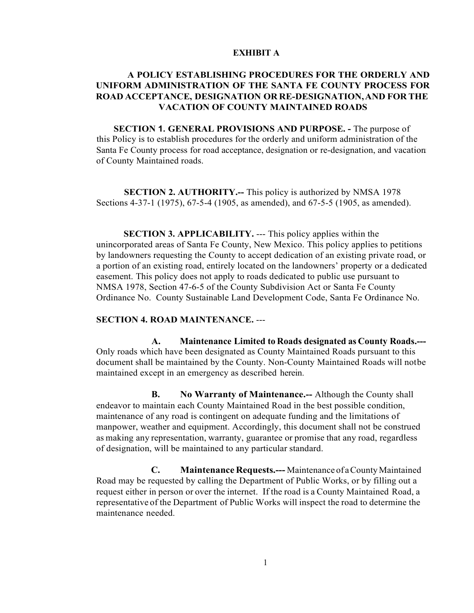# **EXHIBIT A**

# **A POLICY ESTABLISHING PROCEDURES FOR THE ORDERLY AND UNIFORM ADMINISTRATION OF THE SANTA FE COUNTY PROCESS FOR ROAD ACCEPTANCE, DESIGNATION OR RE-DESIGNATION,AND FOR THE VACATION OF COUNTY MAINTAINED ROADS**

**SECTION 1. GENERAL PROVISIONS AND PURPOSE. -** The purpose of this Policy is to establish procedures for the orderly and uniform administration of the Santa Fe County process for road acceptance, designation or re-designation, and vacation of County Maintained roads.

**SECTION 2. AUTHORITY.--** This policy is authorized by NMSA 1978 Sections 4-37-1 (1975), 67-5-4 (1905, as amended), and 67-5-5 (1905, as amended).

**SECTION 3. APPLICABILITY.** --- This policy applies within the unincorporated areas of Santa Fe County, New Mexico. This policy applies to petitions by landowners requesting the County to accept dedication of an existing private road, or a portion of an existing road, entirely located on the landowners' property or a dedicated easement. This policy does not apply to roads dedicated to public use pursuant to NMSA 1978, Section 47-6-5 of the County Subdivision Act or Santa Fe County Ordinance No. County Sustainable Land Development Code, Santa Fe Ordinance No.

# **SECTION 4. ROAD MAINTENANCE.** ---

**A. Maintenance Limited to Roads designated as County Roads.---** Only roads which have been designated as County Maintained Roads pursuant to this document shall be maintained by the County. Non-County Maintained Roads will notbe maintained except in an emergency as described herein.

**B. No Warranty of Maintenance.--** Although the County shall endeavor to maintain each County Maintained Road in the best possible condition, maintenance of any road is contingent on adequate funding and the limitations of manpower, weather and equipment. Accordingly, this document shall not be construed as making any representation, warranty, guarantee or promise that any road, regardless of designation, will be maintained to any particular standard.

**C. Maintenance Requests.---** Maintenance of a County Maintained Road may be requested by calling the Department of Public Works, or by filling out a request either in person or over the internet. If the road is a County Maintained Road, a representative of the Department of Public Works will inspect the road to determine the maintenance needed.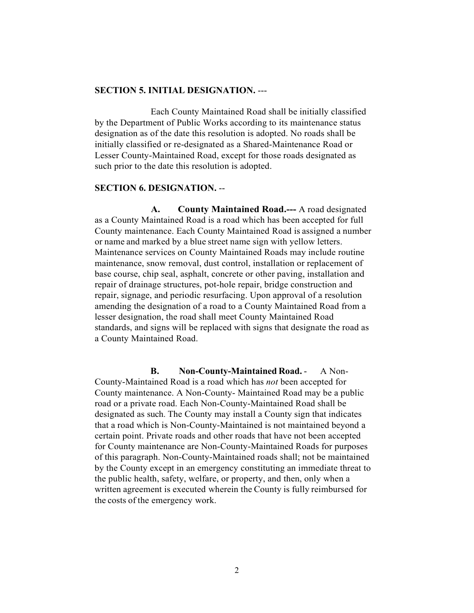#### **SECTION 5. INITIAL DESIGNATION.** ---

Each County Maintained Road shall be initially classified by the Department of Public Works according to its maintenance status designation as of the date this resolution is adopted. No roads shall be initially classified or re-designated as a Shared-Maintenance Road or Lesser County-Maintained Road, except for those roads designated as such prior to the date this resolution is adopted.

# **SECTION 6. DESIGNATION.** --

**A. County Maintained Road.---** A road designated as a County Maintained Road is a road which has been accepted for full County maintenance. Each County Maintained Road is assigned a number or name and marked by a blue street name sign with yellow letters. Maintenance services on County Maintained Roads may include routine maintenance, snow removal, dust control, installation or replacement of base course, chip seal, asphalt, concrete or other paving, installation and repair of drainage structures, pot-hole repair, bridge construction and repair, signage, and periodic resurfacing. Upon approval of a resolution amending the designation of a road to a County Maintained Road from a lesser designation, the road shall meet County Maintained Road standards, and signs will be replaced with signs that designate the road as a County Maintained Road.

**B. Non-County-Maintained Road.** - A Non-County-Maintained Road is a road which has *not* been accepted for County maintenance. A Non-County- Maintained Road may be a public road or a private road. Each Non-County-Maintained Road shall be designated as such. The County may install a County sign that indicates that a road which is Non-County-Maintained is not maintained beyond a certain point. Private roads and other roads that have not been accepted for County maintenance are Non-County-Maintained Roads for purposes of this paragraph. Non-County-Maintained roads shall; not be maintained by the County except in an emergency constituting an immediate threat to the public health, safety, welfare, or property, and then, only when a written agreement is executed wherein the County is fully reimbursed for the costs of the emergency work.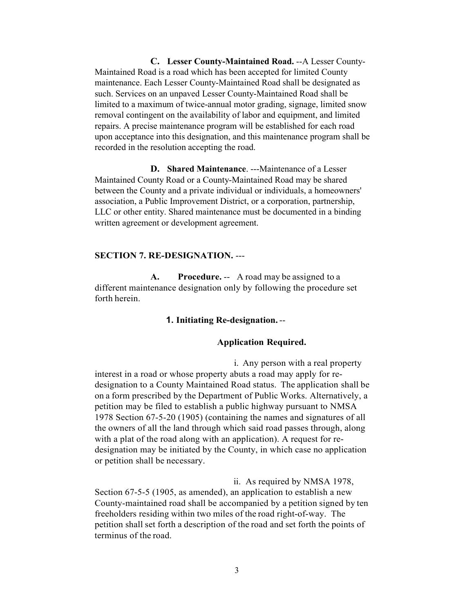**C. Lesser County-Maintained Road.** --A Lesser County-Maintained Road is a road which has been accepted for limited County maintenance. Each Lesser County-Maintained Road shall be designated as such. Services on an unpaved Lesser County-Maintained Road shall be limited to a maximum of twice-annual motor grading, signage, limited snow removal contingent on the availability of labor and equipment, and limited repairs. A precise maintenance program will be established for each road upon acceptance into this designation, and this maintenance program shall be recorded in the resolution accepting the road.

**D. Shared Maintenance**. ---Maintenance of a Lesser Maintained County Road or a County-Maintained Road may be shared between the County and a private individual or individuals, a homeowners' association, a Public Improvement District, or a corporation, partnership, LLC or other entity. Shared maintenance must be documented in a binding written agreement or development agreement.

# **SECTION 7. RE-DESIGNATION.** ---

**A. Procedure.** -- A road may be assigned to a different maintenance designation only by following the procedure set forth herein.

### **1. Initiating Re-designation.**--

### **Application Required.**

i. Any person with a real property interest in a road or whose property abuts a road may apply for redesignation to a County Maintained Road status. The application shall be on a form prescribed by the Department of Public Works. Alternatively, a petition may be filed to establish a public highway pursuant to NMSA 1978 Section 67-5-20 (1905) (containing the names and signatures of all the owners of all the land through which said road passes through, along with a plat of the road along with an application). A request for redesignation may be initiated by the County, in which case no application or petition shall be necessary.

ii. As required by NMSA 1978, Section 67-5-5 (1905, as amended), an application to establish a new County-maintained road shall be accompanied by a petition signed by ten freeholders residing within two miles of the road right-of-way. The petition shall set forth a description of the road and set forth the points of terminus of the road.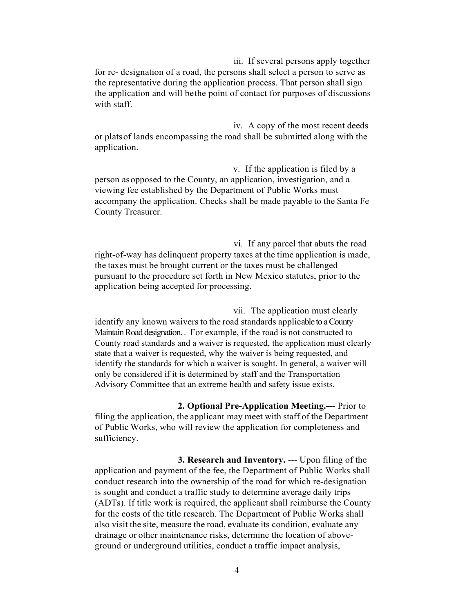iii. If several persons apply together for re- designation of a road, the persons shall select a person to serve as the representative during the application process. That person shall sign the application and will bethe point of contact for purposes of discussions with staff.

iv. A copy of the most recent deeds or platsof lands encompassing the road shall be submitted along with the application.

v. If the application is filed by a person asopposed to the County, an application, investigation, and a viewing fee established by the Department of Public Works must accompany the application. Checks shall be made payable to the Santa Fe County Treasurer.

vi. If any parcel that abuts the road right-of-way has delinquent property taxes at the time application is made, the taxes must be brought current or the taxes must be challenged pursuant to the procedure set forth in New Mexico statutes, prior to the application being accepted for processing.

vii. The application must clearly identify any known waivers to the road standards applicable to a County Maintain Road designation. . For example, if the road is not constructed to County road standards and a waiver is requested, the application must clearly state that a waiver is requested, why the waiver is being requested, and identify the standards for which a waiver is sought. In general, a waiver will only be considered if it is determined by staff and the Transportation Advisory Committee that an extreme health and safety issue exists.

**2. Optional Pre-Application Meeting.---** Prior to filing the application, the applicant may meet with staff of the Department of Public Works, who will review the application for completeness and sufficiency.

**3. Research and Inventory.** --- Upon filing of the application and payment of the fee, the Department of Public Works shall conduct research into the ownership of the road for which re-designation is sought and conduct a traffic study to determine average daily trips (ADTs). If title work is required, the applicant shall reimburse the County for the costs of the title research. The Department of Public Works shall also visit the site, measure the road, evaluate its condition, evaluate any drainage or other maintenance risks, determine the location of aboveground or underground utilities, conduct a traffic impact analysis,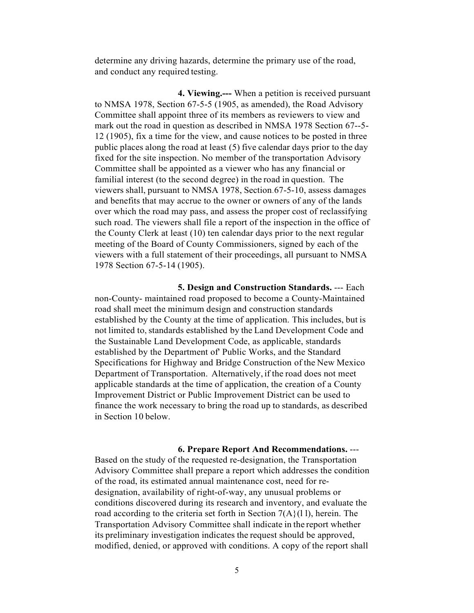determine any driving hazards, determine the primary use of the road, and conduct any required testing.

**4. Viewing.---** When a petition is received pursuant to NMSA 1978, Section 67-5-5 (1905, as amended), the Road Advisory Committee shall appoint three of its members as reviewers to view and mark out the road in question as described in NMSA 1978 Section 67--5- 12 (1905), fix a time for the view, and cause notices to be posted in three public places along the road at least (5) five calendar days prior to the day fixed for the site inspection. No member of the transportation Advisory Committee shall be appointed as a viewer who has any financial or familial interest (to the second degree) in the road in question. The viewers shall, pursuant to NMSA 1978, Section.67-5-10, assess damages and benefits that may accrue to the owner or owners of any of the lands over which the road may pass, and assess the proper cost of reclassifying such road. The viewers shall file a report of the inspection in the office of the County Clerk at least (10) ten calendar days prior to the next regular meeting of the Board of County Commissioners, signed by each of the viewers with a full statement of their proceedings, all pursuant to NMSA 1978 Section 67-5-14 (1905).

**5. Design and Construction Standards.** --- Each non-County- maintained road proposed to become a County-Maintained road shall meet the minimum design and construction standards established by the County at the time of application. This includes, but is not limited to, standards established by the Land Development Code and the Sustainable Land Development Code, as applicable, standards established by the Department of' Public Works, and the Standard Specifications for Highway and Bridge Construction of the New Mexico Department of Transportation. Alternatively, if the road does not meet applicable standards at the time of application, the creation of a County Improvement District or Public Improvement District can be used to finance the work necessary to bring the road up to standards, as described in Section 10 below.

**6. Prepare Report And Recommendations.** ---

Based on the study of the requested re-designation, the Transportation Advisory Committee shall prepare a report which addresses the condition of the road, its estimated annual maintenance cost, need for redesignation, availability of right-of-way, any unusual problems or conditions discovered during its research and inventory, and evaluate the road according to the criteria set forth in Section  $7(A)(1)$ , herein. The Transportation Advisory Committee shall indicate in the report whether its preliminary investigation indicates the request should be approved, modified, denied, or approved with conditions. A copy of the report shall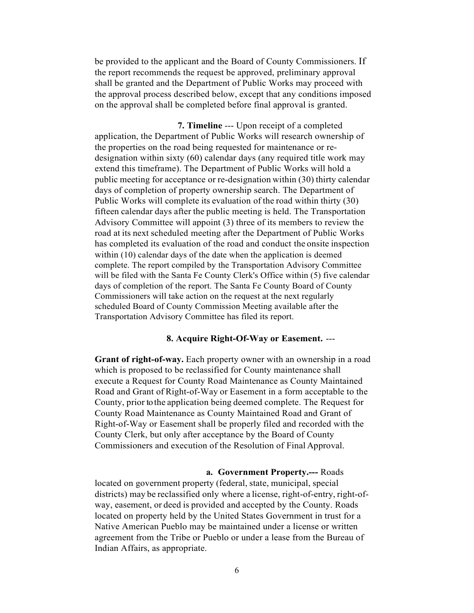be provided to the applicant and the Board of County Commissioners. If the report recommends the request be approved, preliminary approval shall be granted and the Department of Public Works may proceed with the approval process described below, except that any conditions imposed on the approval shall be completed before final approval is granted.

**7. Timeline** --- Upon receipt of a completed application, the Department of Public Works will research ownership of the properties on the road being requested for maintenance or redesignation within sixty (60) calendar days (any required title work may extend this timeframe). The Department of Public Works will hold a public meeting for acceptance or re-designation within (30) thirty calendar days of completion of property ownership search. The Department of Public Works will complete its evaluation of the road within thirty (30) fifteen calendar days after the public meeting is held. The Transportation Advisory Committee will appoint (3) three of its members to review the road at its next scheduled meeting after the Department of Public Works has completed its evaluation of the road and conduct the onsite inspection within (10) calendar days of the date when the application is deemed complete. The report compiled by the Transportation Advisory Committee will be filed with the Santa Fe County Clerk's Office within (5) five calendar days of completion of the report. The Santa Fe County Board of County Commissioners will take action on the request at the next regularly scheduled Board of County Commission Meeting available after the Transportation Advisory Committee has filed its report.

# **8. Acquire Right-Of-Way or Easement.** ---

**Grant of right-of-way.** Each property owner with an ownership in a road which is proposed to be reclassified for County maintenance shall execute a Request for County Road Maintenance as County Maintained Road and Grant of Right-of-Way or Easement in a form acceptable to the County, prior to the application being deemed complete. The Request for County Road Maintenance as County Maintained Road and Grant of Right-of-Way or Easement shall be properly filed and recorded with the County Clerk, but only after acceptance by the Board of County Commissioners and execution of the Resolution of Final Approval.

**a. Government Property.---** Roads located on government property (federal, state, municipal, special districts) may be reclassified only where a license, right-of-entry, right-ofway, easement, or deed is provided and accepted by the County. Roads located on property held by the United States Government in trust for a Native American Pueblo may be maintained under a license or written agreement from the Tribe or Pueblo or under a lease from the Bureau of Indian Affairs, as appropriate.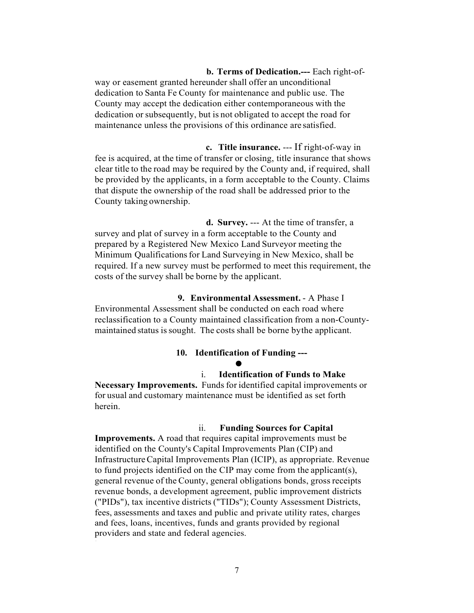**b. Terms of Dedication.---** Each right-ofway or easement granted hereunder shall offer an unconditional dedication to Santa Fe County for maintenance and public use. The County may accept the dedication either contemporaneous with the dedication or subsequently, but is not obligated to accept the road for maintenance unless the provisions of this ordinance are satisfied.

**c. Title insurance.** --- If right-of-way in fee is acquired, at the time of transfer or closing, title insurance that shows clear title to the road may be required by the County and, if required, shall be provided by the applicants, in a form acceptable to the County. Claims that dispute the ownership of the road shall be addressed prior to the County taking ownership.

**d. Survey.** --- At the time of transfer, a survey and plat of survey in a form acceptable to the County and prepared by a Registered New Mexico Land Surveyor meeting the Minimum Qualifications for Land Surveying in New Mexico, shall be required. If a new survey must be performed to meet this requirement, the costs of the survey shall be borne by the applicant.

**9. Environmental Assessment.** - A Phase I Environmental Assessment shall be conducted on each road where reclassification to a County maintained classification from a non-Countymaintained status is sought. The costs shall be borne by the applicant.

# **10. Identification of Funding ---**

# • i. **Identification of Funds to Make**

**Necessary Improvements.** Funds for identified capital improvements or for usual and customary maintenance must be identified as set forth herein.

#### ii. **Funding Sources for Capital**

**Improvements.** A road that requires capital improvements must be identified on the County's Capital Improvements Plan (CIP) and InfrastructureCapital Improvements Plan (ICIP), as appropriate. Revenue to fund projects identified on the CIP may come from the applicant(s), general revenue of the County, general obligations bonds, gross receipts revenue bonds, a development agreement, public improvement districts ("PIDs"), tax incentive districts ("TIDs"); County Assessment Districts, fees, assessments and taxes and public and private utility rates, charges and fees, loans, incentives, funds and grants provided by regional providers and state and federal agencies.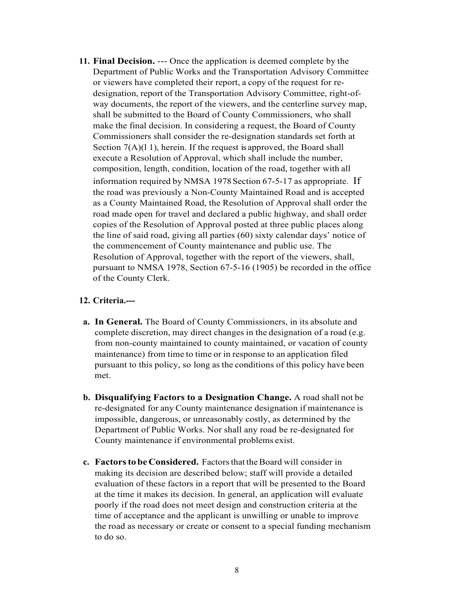**11. Final Decision.** --- Once the application is deemed complete by the Department of Public Works and the Transportation Advisory Committee or viewers have completed their report, a copy of the request for redesignation, report of the Transportation Advisory Committee, right-ofway documents, the report of the viewers, and the centerline survey map, shall be submitted to the Board of County Commissioners, who shall make the final decision. In considering a request, the Board of County Commissioners shall consider the re-designation standards set forth at Section  $7(A)(1)$ , herein. If the request is approved, the Board shall execute a Resolution of Approval, which shall include the number, composition, length, condition, location of the road, together with all information required by NMSA 1978Section 67-5-17 as appropriate. If the road was previously a Non-County Maintained Road and is accepted as a County Maintained Road, the Resolution of Approval shall order the road made open for travel and declared a public highway, and shall order copies of the Resolution of Approval posted at three public places along the line of said road, giving all parties (60) sixty calendar days' notice of the commencement of County maintenance and public use. The Resolution of Approval, together with the report of the viewers, shall, pursuant to NMSA 1978, Section 67-5-16 (1905) be recorded in the office of the County Clerk.

#### **12. Criteria.---**

- **a. In General.** The Board of County Commissioners, in its absolute and complete discretion, may direct changes in the designation of a road (e.g. from non-county maintained to county maintained, or vacation of county maintenance) from time to time or in response to an application filed pursuant to this policy, so long as the conditions of this policy have been met.
- **b. Disqualifying Factors to a Designation Change.** A road shall not be re-designated for any County maintenance designation if maintenance is impossible, dangerous, or unreasonably costly, as determined by the Department of Public Works. Nor shall any road be re-designated for County maintenance if environmental problems exist.
- **c. Factors to be Considered.** Factors that the Board will consider in making its decision are described below; staff will provide a detailed evaluation of these factors in a report that will be presented to the Board at the time it makes its decision. In general, an application will evaluate poorly if the road does not meet design and construction criteria at the time of acceptance and the applicant is unwilling or unable to improve the road as necessary or create or consent to a special funding mechanism to do so.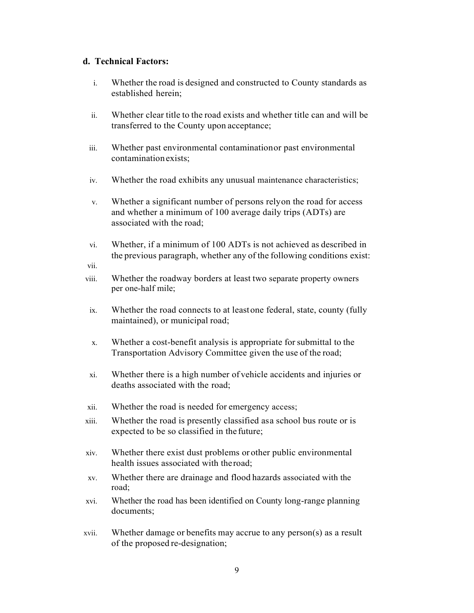# **d. Technical Factors:**

- i. Whether the road is designed and constructed to County standards as established herein;
- ii. Whether clear title to the road exists and whether title can and will be transferred to the County upon acceptance;
- iii. Whether past environmental contaminationor past environmental contaminationexists;
- iv. Whether the road exhibits any unusual maintenance characteristics;
- v. Whether a significant number of persons relyon the road for access and whether a minimum of 100 average daily trips (ADTs) are associated with the road;
- vi. Whether, if a minimum of 100 ADTs is not achieved as described in the previous paragraph, whether any of the following conditions exist:

vii.

- viii. Whether the roadway borders at least two separate property owners per one-half mile;
- ix. Whether the road connects to at leastone federal, state, county (fully maintained), or municipal road;
- x. Whether a cost-benefit analysis is appropriate forsubmittal to the Transportation Advisory Committee given the use of the road;
- xi. Whether there is a high number of vehicle accidents and injuries or deaths associated with the road;
- xii. Whether the road is needed for emergency access;
- xiii. Whether the road is presently classified asa school bus route or is expected to be so classified in the future;
- xiv. Whether there exist dust problems or other public environmental health issues associated with theroad;
- xv. Whether there are drainage and flood hazards associated with the road;
- xvi. Whether the road has been identified on County long-range planning documents;
- xvii. Whether damage or benefits may accrue to any person(s) as a result of the proposed re-designation;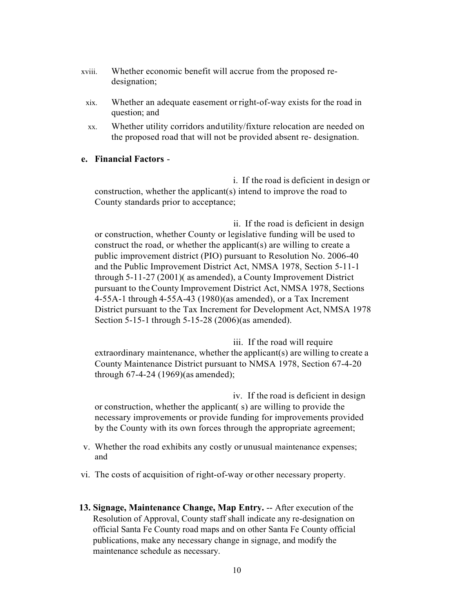- xviii. Whether economic benefit will accrue from the proposed redesignation;
- xix. Whether an adequate easement orright-of-way exists for the road in question; and
- xx. Whether utility corridors andutility/fixture relocation are needed on the proposed road that will not be provided absent re- designation.

# **e. Financial Factors** -

i. If the road is deficient in design or construction, whether the applicant(s) intend to improve the road to County standards prior to acceptance;

ii. If the road is deficient in design or construction, whether County or legislative funding will be used to construct the road, or whether the applicant(s) are willing to create a public improvement district (PIO) pursuant to Resolution No. 2006-40 and the Public Improvement District Act, NMSA 1978, Section 5-11-1 through 5-11-27 (2001)( as amended), a County Improvement District pursuant to the County Improvement District Act, NMSA 1978, Sections 4-55A-1 through 4-55A-43 (1980)(as amended), or a Tax Increment District pursuant to the Tax Increment for Development Act, NMSA 1978 Section 5-15-1 through 5-15-28 (2006)(as amended).

iii. If the road will require extraordinary maintenance, whether the applicant(s) are willing to create a County Maintenance District pursuant to NMSA 1978, Section 67-4-20 through 67-4-24 (1969)(as amended);

iv. If the road is deficient in design or construction, whether the applicant( s) are willing to provide the necessary improvements or provide funding for improvements provided by the County with its own forces through the appropriate agreement;

- v. Whether the road exhibits any costly or unusual maintenance expenses; and
- vi. The costs of acquisition of right-of-way or other necessary property.
- **13. Signage, Maintenance Change, Map Entry.** -- After execution of the Resolution of Approval, County staff shall indicate any re-designation on official Santa Fe County road maps and on other Santa Fe County official publications, make any necessary change in signage, and modify the maintenance schedule as necessary.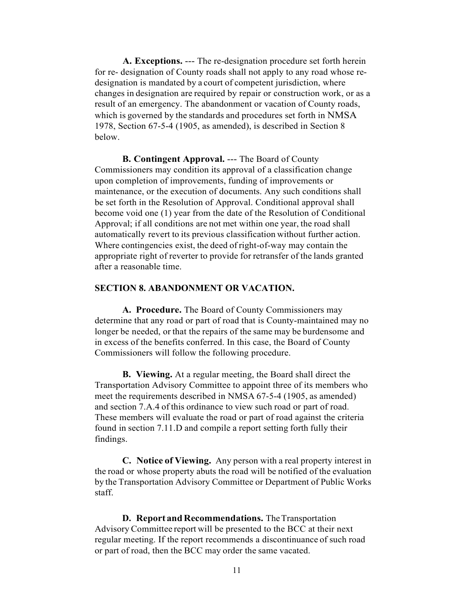**A. Exceptions.** --- The re-designation procedure set forth herein for re- designation of County roads shall not apply to any road whose redesignation is mandated by a court of competent jurisdiction, where changes in designation are required by repair or construction work, or as a result of an emergency. The abandonment or vacation of County roads, which is governed by the standards and procedures set forth in NMSA 1978, Section 67-5-4 (1905, as amended), is described in Section 8 below.

**B. Contingent Approval.** --- The Board of County Commissioners may condition its approval of a classification change upon completion of improvements, funding of improvements or maintenance, or the execution of documents. Any such conditions shall be set forth in the Resolution of Approval. Conditional approval shall become void one (1) year from the date of the Resolution of Conditional Approval; if all conditions are not met within one year, the road shall automatically revert to its previous classification without further action. Where contingencies exist, the deed of right-of-way may contain the appropriate right of reverter to provide for retransfer of the lands granted after a reasonable time.

#### **SECTION 8. ABANDONMENT OR VACATION.**

**A. Procedure.** The Board of County Commissioners may determine that any road or part of road that is County-maintained may no longer be needed, or that the repairs of the same may be burdensome and in excess of the benefits conferred. In this case, the Board of County Commissioners will follow the following procedure.

**B. Viewing.** At a regular meeting, the Board shall direct the Transportation Advisory Committee to appoint three of its members who meet the requirements described in NMSA 67-5-4 (1905, as amended) and section 7.A.4 of this ordinance to view such road or part of road. These members will evaluate the road or part of road against the criteria found in section 7.11.D and compile a report setting forth fully their findings.

**C. Notice of Viewing.** Any person with a real property interest in the road or whose property abuts the road will be notified of the evaluation by the Transportation Advisory Committee or Department of Public Works staff.

**D.** Report and Recommendations. The Transportation Advisory Committee report will be presented to the BCC at their next regular meeting. If the report recommends a discontinuance of such road or part of road, then the BCC may order the same vacated.